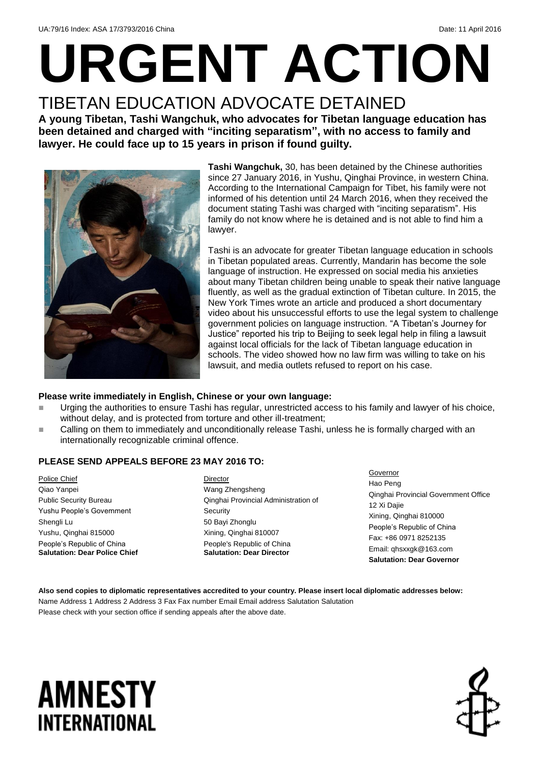# **URGENT ACTION**

### TIBETAN EDUCATION ADVOCATE DETAINED

**A young Tibetan, Tashi Wangchuk, who advocates for Tibetan language education has been detained and charged with "inciting separatism", with no access to family and lawyer. He could face up to 15 years in prison if found guilty.**



**Tashi Wangchuk,** 30, has been detained by the Chinese authorities since 27 January 2016, in Yushu, Qinghai Province, in western China. According to the International Campaign for Tibet, his family were not informed of his detention until 24 March 2016, when they received the document stating Tashi was charged with "inciting separatism". His family do not know where he is detained and is not able to find him a lawyer.

Tashi is an advocate for greater Tibetan language education in schools in Tibetan populated areas. Currently, Mandarin has become the sole language of instruction. He expressed on social media his anxieties about many Tibetan children being unable to speak their native language fluently, as well as the gradual extinction of Tibetan culture. In 2015, the New York Times wrote an article and produced a short documentary video about his unsuccessful efforts to use the legal system to challenge government policies on language instruction. "A Tibetan's Journey for Justice" reported his trip to Beijing to seek legal help in filing a lawsuit against local officials for the lack of Tibetan language education in schools. The video showed how no law firm was willing to take on his lawsuit, and media outlets refused to report on his case.

### **Please write immediately in English, Chinese or your own language:**

- Urging the authorities to ensure Tashi has regular, unrestricted access to his family and lawyer of his choice, without delay, and is protected from torture and other ill-treatment;
- Calling on them to immediately and unconditionally release Tashi, unless he is formally charged with an internationally recognizable criminal offence.

### **PLEASE SEND APPEALS BEFORE 23 MAY 2016 TO:**

Police Chief Qiao Yanpei Public Security Bureau Yushu People's Government Shengli Lu Yushu, Qinghai 815000 People's Republic of China **Salutation: Dear Police Chief** Director Wang Zhengsheng Qinghai Provincial Administration of Security 50 Bayi Zhonglu Xining, Qinghai 810007 People's Republic of China **Salutation: Dear Director**

**Governor** Hao Peng Qinghai Provincial Government Office 12 Xi Dajie Xining, Qinghai 810000 People's Republic of China Fax: +86 0971 8252135 Email[: qhsxxgk@163.com](mailto:qhsxxgk@163.com) **Salutation: Dear Governor**

**Also send copies to diplomatic representatives accredited to your country. Please insert local diplomatic addresses below:** Name Address 1 Address 2 Address 3 Fax Fax number Email Email address Salutation Salutation Please check with your section office if sending appeals after the above date.

### **AMNESTY INTERNATIONAL**